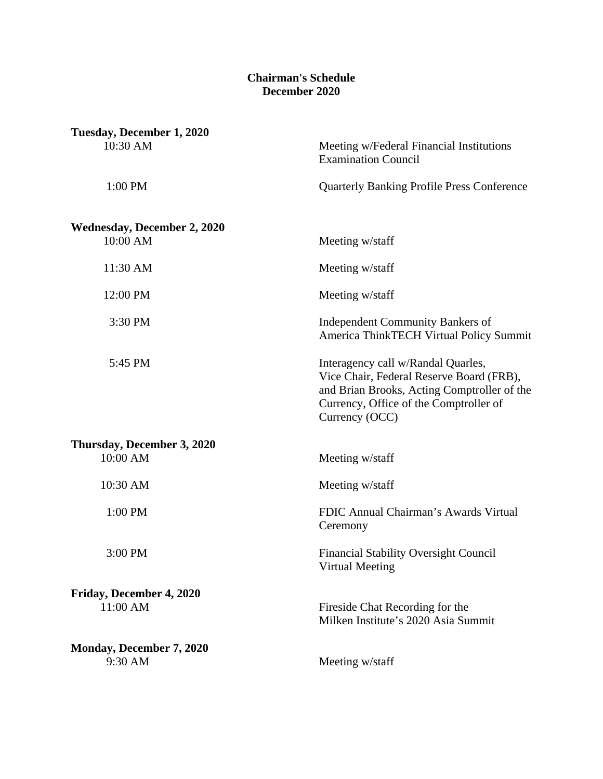## **Chairman's Schedule December 2020**

| Tuesday, December 1, 2020                      |                                                                                                                                                                                           |
|------------------------------------------------|-------------------------------------------------------------------------------------------------------------------------------------------------------------------------------------------|
| 10:30 AM                                       | Meeting w/Federal Financial Institutions<br><b>Examination Council</b>                                                                                                                    |
| 1:00 PM                                        | <b>Quarterly Banking Profile Press Conference</b>                                                                                                                                         |
| <b>Wednesday, December 2, 2020</b><br>10:00 AM | Meeting w/staff                                                                                                                                                                           |
| 11:30 AM                                       | Meeting w/staff                                                                                                                                                                           |
| 12:00 PM                                       | Meeting w/staff                                                                                                                                                                           |
| 3:30 PM                                        | <b>Independent Community Bankers of</b><br>America ThinkTECH Virtual Policy Summit                                                                                                        |
| 5:45 PM                                        | Interagency call w/Randal Quarles,<br>Vice Chair, Federal Reserve Board (FRB),<br>and Brian Brooks, Acting Comptroller of the<br>Currency, Office of the Comptroller of<br>Currency (OCC) |
| Thursday, December 3, 2020<br>10:00 AM         |                                                                                                                                                                                           |
|                                                | Meeting w/staff                                                                                                                                                                           |
| 10:30 AM                                       | Meeting w/staff                                                                                                                                                                           |
| 1:00 PM                                        | FDIC Annual Chairman's Awards Virtual<br>Ceremony                                                                                                                                         |
| 3:00 PM                                        | <b>Financial Stability Oversight Council</b><br>Virtual Meeting                                                                                                                           |
| Friday, December 4, 2020<br>11:00 AM           | Fireside Chat Recording for the<br>Milken Institute's 2020 Asia Summit                                                                                                                    |
| Monday, December 7, 2020                       |                                                                                                                                                                                           |
| 9:30 AM                                        | Meeting w/staff                                                                                                                                                                           |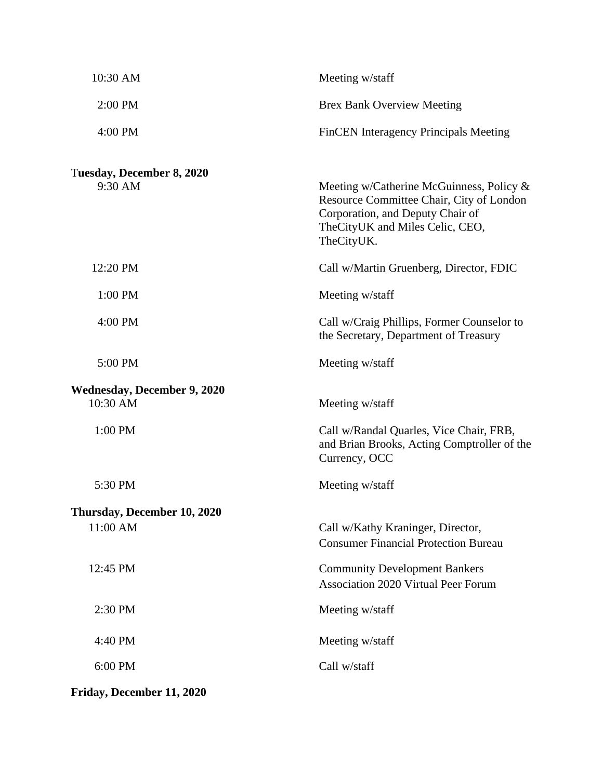| 10:30 AM                                       | Meeting w/staff                                                                                                                                                              |
|------------------------------------------------|------------------------------------------------------------------------------------------------------------------------------------------------------------------------------|
| 2:00 PM                                        | <b>Brex Bank Overview Meeting</b>                                                                                                                                            |
| 4:00 PM                                        | <b>FinCEN</b> Interagency Principals Meeting                                                                                                                                 |
| Tuesday, December 8, 2020<br>9:30 AM           | Meeting w/Catherine McGuinness, Policy $\&$<br>Resource Committee Chair, City of London<br>Corporation, and Deputy Chair of<br>TheCityUK and Miles Celic, CEO,<br>TheCityUK. |
| 12:20 PM                                       | Call w/Martin Gruenberg, Director, FDIC                                                                                                                                      |
| 1:00 PM                                        | Meeting w/staff                                                                                                                                                              |
| 4:00 PM                                        | Call w/Craig Phillips, Former Counselor to<br>the Secretary, Department of Treasury                                                                                          |
| 5:00 PM                                        | Meeting w/staff                                                                                                                                                              |
| <b>Wednesday, December 9, 2020</b><br>10:30 AM | Meeting w/staff                                                                                                                                                              |
| 1:00 PM                                        | Call w/Randal Quarles, Vice Chair, FRB,<br>and Brian Brooks, Acting Comptroller of the<br>Currency, OCC                                                                      |
| 5:30 PM                                        | Meeting w/staff                                                                                                                                                              |
| Thursday, December 10, 2020                    |                                                                                                                                                                              |
| 11:00 AM                                       | Call w/Kathy Kraninger, Director,<br><b>Consumer Financial Protection Bureau</b>                                                                                             |
| 12:45 PM                                       | <b>Community Development Bankers</b><br><b>Association 2020 Virtual Peer Forum</b>                                                                                           |
| 2:30 PM                                        | Meeting w/staff                                                                                                                                                              |
| 4:40 PM                                        | Meeting w/staff                                                                                                                                                              |
| 6:00 PM                                        | Call w/staff                                                                                                                                                                 |
| Friday, December 11, 2020                      |                                                                                                                                                                              |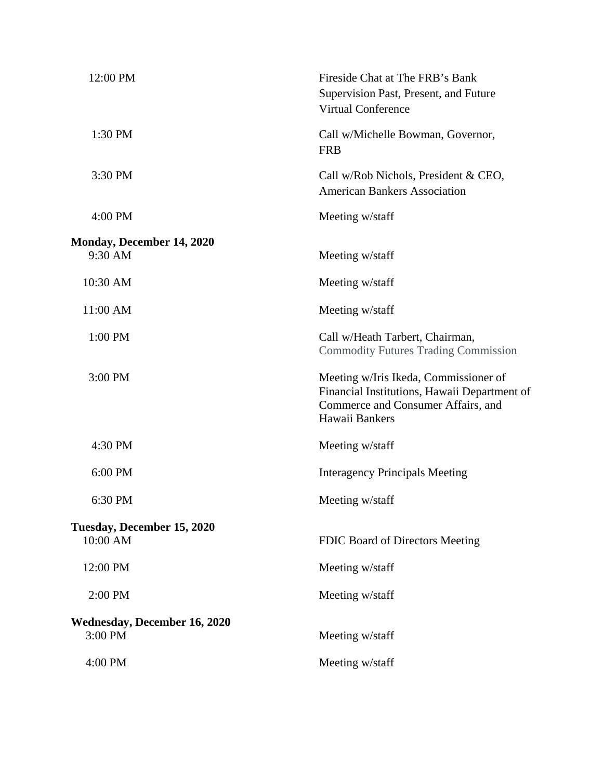| 12:00 PM                                       | Fireside Chat at The FRB's Bank<br>Supervision Past, Present, and Future<br><b>Virtual Conference</b>                                         |
|------------------------------------------------|-----------------------------------------------------------------------------------------------------------------------------------------------|
| 1:30 PM                                        | Call w/Michelle Bowman, Governor,<br><b>FRB</b>                                                                                               |
| 3:30 PM                                        | Call w/Rob Nichols, President & CEO,<br><b>American Bankers Association</b>                                                                   |
| 4:00 PM                                        | Meeting w/staff                                                                                                                               |
| Monday, December 14, 2020<br>9:30 AM           | Meeting w/staff                                                                                                                               |
| 10:30 AM                                       | Meeting w/staff                                                                                                                               |
| 11:00 AM                                       | Meeting w/staff                                                                                                                               |
| 1:00 PM                                        | Call w/Heath Tarbert, Chairman,<br><b>Commodity Futures Trading Commission</b>                                                                |
| 3:00 PM                                        | Meeting w/Iris Ikeda, Commissioner of<br>Financial Institutions, Hawaii Department of<br>Commerce and Consumer Affairs, and<br>Hawaii Bankers |
| 4:30 PM                                        | Meeting w/staff                                                                                                                               |
| 6:00 PM                                        | <b>Interagency Principals Meeting</b>                                                                                                         |
| 6:30 PM                                        | Meeting w/staff                                                                                                                               |
| Tuesday, December 15, 2020<br>10:00 AM         | FDIC Board of Directors Meeting                                                                                                               |
|                                                |                                                                                                                                               |
| 12:00 PM                                       | Meeting w/staff                                                                                                                               |
| 2:00 PM                                        | Meeting w/staff                                                                                                                               |
| <b>Wednesday, December 16, 2020</b><br>3:00 PM | Meeting w/staff                                                                                                                               |
| 4:00 PM                                        | Meeting w/staff                                                                                                                               |